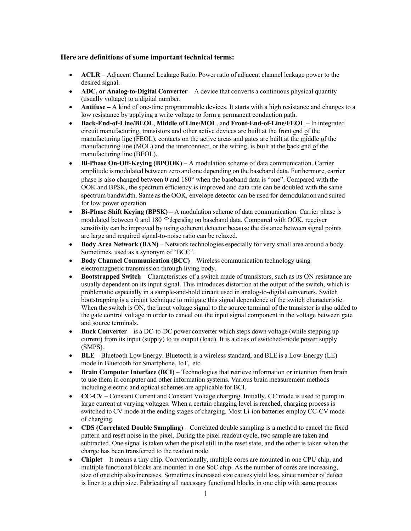## **Here are definitions of some important technical terms:**

- **ACLR** Adjacent Channel Leakage Ratio. Power ratio of adjacent channel leakage power to the desired signal.
- **ADC, or Analog-to-Digital Converter** A device that converts a continuous physical quantity (usually voltage) to a digital number.
- **Antifuse –** A kind of one-time programmable devices. It starts with a high resistance and changes to a low resistance by applying a write voltage to form a permanent conduction path.
- **Back-End-of-Line/BEOL**, **Middle of Line/MOL**, and **Front-End-of-Line/FEOL** In integrated circuit manufacturing, transistors and other active devices are built at the front end of the manufacturing line (FEOL), contacts on the active areas and gates are built at the middle of the manufacturing line (MOL) and the interconnect, or the wiring, is built at the back end of the manufacturing line (BEOL).
- **Bi-Phase On-Off-Keying (BPOOK) –** A modulation scheme of data communication. Carrier amplitude is modulated between zero and one depending on the baseband data. Furthermore, carrier phase is also changed between 0 and 180° when the baseband data is "one". Compared with the OOK and BPSK, the spectrum efficiency is improved and data rate can be doubled with the same spectrum bandwidth. Same asthe OOK, envelope detector can be used for demodulation and suited for low power operation.
- **Bi-Phase Shift Keying (BPSK) –** A modulation scheme of data communication. Carrier phase is modulated between 0 and 180 ° depending on baseband data. Compared with OOK, receiver sensitivity can be improved by using coherent detector because the distance between signal points are large and required signal-to-noise ratio can be relaxed.
- **Body Area Network (BAN)** Network technologies especially for very small area around a body. Sometimes, used as a synonym of "BCC".
- **Body Channel Communication (BCC)** Wireless communication technology using electromagnetic transmission through living body.
- **Bootstrapped Switch** Characteristics of a switch made of transistors, such as its ON resistance are usually dependent on its input signal. This introduces distortion at the output of the switch, which is problematic especially in a sample-and-hold circuit used in analog-to-digital converters. Switch bootstrapping is a circuit technique to mitigate this signal dependence of the switch characteristic. When the switch is ON, the input voltage signal to the source terminal of the transistor is also added to the gate control voltage in order to cancel out the input signal component in the voltage between gate and source terminals.
- **Buck Converter** is a DC-to-DC power converter which steps down voltage (while stepping up current) from its input (supply) to its output (load). It is a class of switched-mode power supply (SMPS).
- **BLE** Bluetooth Low Energy. Bluetooth is a wireless standard, and BLE is a Low-Energy (LE) mode in Bluetooth for Smartphone, IoT, etc.
- **Brain Computer Interface (BCI) Technologies that retrieve information or intention from brain** to use them in computer and other information systems. Various brain measurement methods including electric and optical schemes are applicable for BCI.
- **CC-CV**  Constant Current and Constant Voltage charging. Initially, CC mode is used to pump in large current at varying voltages. When a certain charging level is reached, charging process is switched to CV mode at the ending stages of charging. Most Li-ion batteries employ CC-CV mode of charging.
- **CDS (Correlated Double Sampling)**  Correlated double sampling is a method to cancel the fixed pattern and reset noise in the pixel. During the pixel readout cycle, two sample are taken and subtracted. One signal is taken when the pixel still in the reset state, and the other is taken when the charge has been transferred to the readout node.
- **Chiplet**  It means a tiny chip. Conventionally, multiple cores are mounted in one CPU chip, and multiple functional blocks are mounted in one SoC chip. As the number of cores are increasing, size of one chip also increases. Sometimes increased size causes yield loss, since number of defect is liner to a chip size. Fabricating all necessary functional blocks in one chip with same process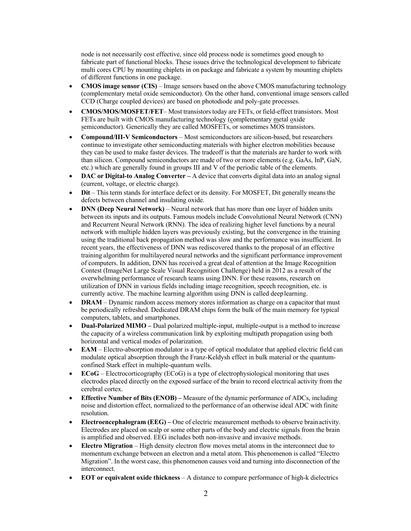node is not necessarily cost effective, since old process node is sometimes good enough to fabricate part of functional blocks. These issues drive the technological development to fabricate multi cores CPU by mounting chiplets in on package and fabricate a system by mounting chiplets of different functions in one package.

- **CMOS image sensor (CIS)** Image sensors based on the above CMOS manufacturing technology (complementary metal oxide semiconductor). On the other hand, conventional image sensors called CCD (Charge coupled devices) are based on photodiode and poly-gate processes.
- **CMOS/MOS/MOSFET/FET** Most transistorstoday are FETs, or field-effect transistors. Most FETs are built with CMOS manufacturing technology (complementary metal oxide semiconductor). Generically they are called MOSFETs, or sometimes MOS transistors.
- **Compound/III-V Semiconductors**  Most semiconductors are silicon-based, but researchers continue to investigate other semiconducting materials with higher electron mobilities because they can be used to make faster devices. The tradeoff is that the materials are harder to work with than silicon. Compound semiconductors are made of two or more elements (e.g. GaAs, InP, GaN, etc.) which are generally found in groups III and V of the periodic table of the elements.
- **DAC or Digital-to Analog Converter –** A device that converts digital data into an analog signal (current, voltage, or electric charge).
- **Dit** This term stands for interface defect or its density. For MOSFET, Dit generally means the defects between channel and insulating oxide.
- **DNN (Deep Neural Network)** Neural network that has more than one layer of hidden units between its inputs and its outputs. Famous models include Convolutional Neural Network (CNN) and Recurrent Neural Network (RNN). The idea of realizing higher level functions by a neural network with multiple hidden layers was previously existing, but the convergence in the training using the traditional back propagation method was slow and the performance was insufficient. In recent years, the effectiveness of DNN was rediscovered thanks to the proposal of an effective training algorithm for multilayered neural networks and the significant performance improvement of computers. In addition, DNN has received a great deal of attention at the Image Recognition Contest (ImageNet Large Scale Visual Recognition Challenge) held in 2012 as a result of the overwhelming performance of research teams using DNN. For these reasons, research on utilization of DNN in various fields including image recognition, speech recognition, etc. is currently active. The machine learning algorithm using DNN is called deeplearning.
- **DRAM** Dynamic random access memory stores information as charge on a capacitor that must be periodically refreshed. Dedicated DRAM chips form the bulk of the main memory for typical computers, tablets, and smartphones.
- **Dual-Polarized MIMO –** Dual polarized multiple-input, multiple-output is a method to increase the capacity of a wireless communication link by exploiting multipath propagation using both horizontal and vertical modes of polarization.
- **EAM** Electro-absorption modulator is a type of optical modulator that applied electric field can modulate optical absorption through the Franz-Keldysh effect in bulk material or the quantumconfined Stark effect in multiple-quantum wells.
- **ECoG**  Electrocorticography (ECoG) is a type of electrophysiological monitoring that uses electrodes placed directly on the exposed surface of the brain to record electrical activity from the cerebral cortex.
- **Effective Number of Bits (ENOB) –** Measure of the dynamic performance of ADCs, including noise and distortion effect, normalized to the performance of an otherwise ideal ADC with finite resolution.
- **Electroencephalogram (EEG) –** One of electric measurement methods to observe brainactivity. Electrodes are placed on scalp or some other parts of the body and electric signals from the brain is amplified and observed. EEG includes both non-invasive and invasive methods.
- **Electro Migration**  High density electron flow moves metal atoms in the interconnect due to momentum exchange between an electron and a metal atom. This phenomenon is called "Electro Migration". In the worst case, this phenomenon causes void and turning into disconnection of the interconnect.
- **EOT or equivalent oxide thickness**  A distance to compare performance of high-k dielectrics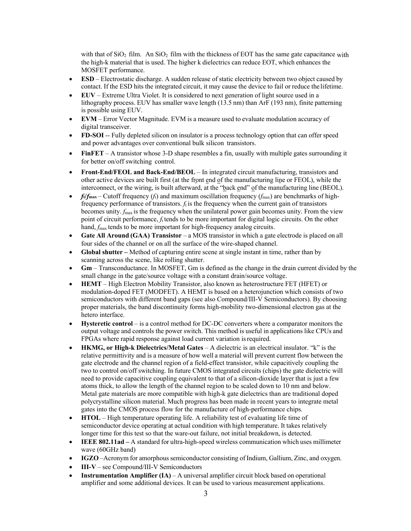with that of  $SiO<sub>2</sub>$  film. An  $SiO<sub>2</sub>$  film with the thickness of EOT has the same gate capacitance with the high-k material that is used. The higher k dielectrics can reduce EOT, which enhances the MOSFET performance.

- **ESD** Electrostatic discharge. A sudden release of static electricity between two object caused by contact. If the ESD hits the integrated circuit, it may cause the device to fail or reduce the lifetime.
- **EUV**  Extreme Ultra Violet. It is considered to next generation of light source used in a lithography process. EUV has smaller wave length (13.5 nm) than ArF (193 nm), finite patterning is possible using EUV.
- **EVM** Error Vector Magnitude. EVM is a measure used to evaluate modulation accuracy of digital transceiver.
- **FD-SOI** -- Fully depleted silicon on insulator is a process technology option that can offer speed and power advantages over conventional bulk silicon transistors.
- **FinFET** A transistor whose 3-D shape resembles a fin, usually with multiple gates surrounding it for better on/off switching control.
- **Front-End/FEOL and Back-End/BEOL**  In integrated circuit manufacturing, transistors and other active devices are built first (at the front end of the manufacturing line or FEOL), while the interconnect, or the wiring, is built afterward, at the "back end" of the manufacturing line (BEOL).
- $f_{\ell}/f_{\rm max}$  Cutoff frequency ( $f_{\rm t}$ ) and maximum oscillation frequency ( $f_{\rm max}$ ) are benchmarks of highfrequency performance of transistors.  $f_t$  is the frequency when the current gain of transistors becomes unity. *f*max is the frequency when the unilateral power gain becomes unity. From the view point of circuit performance,  $f_t$  tends to be more important for digital logic circuits. On the other hand,  $f_{\text{max}}$  tends to be more important for high-frequency analog circuits.
- **Gate All Around (GAA) Transistor** a MOS transistor in which a gate electrode is placed on all four sides of the channel or on all the surface of the wire-shaped channel.
- **Global shutter –** Method of capturing entire scene at single instant in time, rather than by scanning across the scene, like rolling shutter.
- **Gm** Transconductance. In MOSFET, Gm is defined as the change in the drain current divided by the small change in the gate/source voltage with a constant drain/source voltage.
- **HEMT** High Electron Mobility Transistor, also known as heterostructure FET (HFET) or modulation-doped FET (MODFET). A HEMT is based on a heterojunction which consists of two semiconductors with different band gaps (see also Compound/III-V Semiconductors). By choosing proper materials, the band discontinuity forms high-mobility two-dimensional electron gas at the hetero interface.
- **Hysteretic control**  is a control method for DC-DC converters where a comparator monitors the output voltage and controls the power switch. This method is useful in applications like CPUs and FPGAs where rapid response against load current variation isrequired.
- **HKMG, or High-k Dielectrics/Metal Gates**  A dielectric is an electrical insulator. "k" is the relative permittivity and is a measure of how well a material will prevent current flow between the gate electrode and the channel region of a field-effect transistor, while capacitively coupling the two to control on/off switching. In future CMOS integrated circuits (chips) the gate dielectric will need to provide capacitive coupling equivalent to that of a silicon-dioxide layer that is just a few atoms thick, to allow the length of the channel region to be scaled down to 10 nm and below. Metal gate materials are more compatible with high-k gate dielectrics than are traditional doped polycrystalline silicon material. Much progress has been made in recent years to integrate metal gates into the CMOS process flow for the manufacture of high-performance chips.
- **HTOL**  High temperature operating life. A reliability test of evaluating life time of semiconductor device operating at actual condition with high temperature. It takes relatively longer time for this test so that the ware-out failure, not initial breakdown, is detected.
- **IEEE 802.11ad –** A standard for ultra-high-speed wireless communication which uses millimeter wave (60GHz band)
- **IGZO** –Acronym for amorphous semiconductor consisting of Indium, Gallium, Zinc, and oxygen.
- **III-V** see Compound/III-V Semiconductors
- **Instrumentation Amplifier (IA)** A universal amplifier circuit block based on operational amplifier and some additional devices. It can be used to various measurement applications.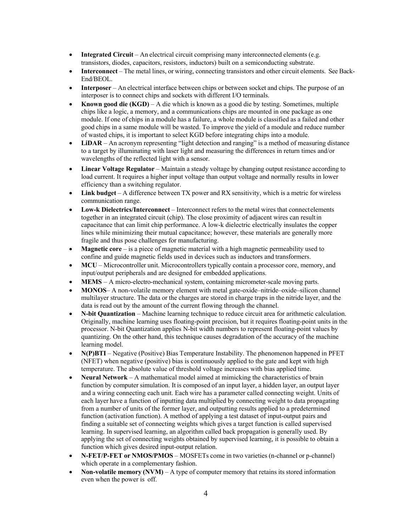- **Integrated Circuit** An electrical circuit comprising many interconnected elements (e.g. transistors, diodes, capacitors, resistors, inductors) built on a semiconducting substrate.
- **Interconnect** The metal lines, or wiring, connecting transistors and other circuit elements. See Back-End/BEOL.
- **Interposer** An electrical interface between chips or between socket and chips. The purpose of an interposer is to connect chips and sockets with different I/O terminals.
- **Known good die (KGD)**  A die which is known as a good die by testing. Sometimes, multiple chips like a logic, a memory, and a communications chips are mounted in one package as one module. If one of chips in a module has a failure, a whole module is classified as a failed and other good chips in a same module will be wasted. To improve the yield of a module and reduce number of wasted chips, it is important to select KGD before integrating chips into a module.
- **LiDAR**  An acronym representing "light detection and ranging" is a method of measuring distance to a target by illuminating with laser light and measuring the differences in return times and/or wavelengths of the reflected light with a sensor.
- **Linear Voltage Regulator** Maintain a steady voltage by changing output resistance according to load current. It requires a higher input voltage than output voltage and normally results in lower efficiency than a switching regulator.
- **Link budget** A difference between TX power and RX sensitivity, which is a metric for wireless communication range.
- **Low-k Dielectrics/Interconnect** Interconnect refers to the metal wires that connectelements together in an integrated circuit (chip). The close proximity of adjacent wires can resultin capacitance that can limit chip performance. A low-k dielectric electrically insulates the copper lines while minimizing their mutual capacitance; however, these materials are generally more fragile and thus pose challenges for manufacturing.
- **Magnetic core**  is a piece of magnetic material with a high magnetic permeability used to confine and guide magnetic fields used in devices such as inductors and transformers.
- **MCU** Microcontroller unit. Microcontrollers typically contain a processor core, memory, and input/output peripherals and are designed for embedded applications.
- **MEMS** *–* A micro-electro-mechanical system, containing micrometer-scale moving parts.
- **MONOS** A non-volatile memory element with metal gate-oxide–nitride–oxide–silicon channel multilayer structure. The data or the charges are stored in charge traps in the nitride layer, and the data is read out by the amount of the current flowing through the channel.
- **N-bit Quantization** Machine learning technique to reduce circuit area for arithmetic calculation. Originally, machine learning uses floating-point precision, but it requires floating-point units in the processor. N-bit Quantization applies N-bit width numbers to represent floating-point values by quantizing. On the other hand, this technique causes degradation of the accuracy of the machine learning model.
- **N(P)BTI** Negative (Positive) Bias Temperature Instability. The phenomenon happened in PFET (NFET) when negative (positive) bias is continuously applied to the gate and kept with high temperature. The absolute value of threshold voltage increases with bias applied time.
- **Neural Network**  A mathematical model aimed at mimicking the characteristics of brain function by computer simulation. It is composed of an input layer, a hidden layer, an output layer and a wiring connecting each unit. Each wire has a parameter called connecting weight. Units of each layer have a function of inputting data multiplied by connecting weight to data propagating from a number of units of the former layer, and outputting results applied to a predetermined function (activation function). A method of applying a test dataset of input-output pairs and finding a suitable set of connecting weights which gives a target function is called supervised learning. In supervised learning, an algorithm called back propagation is generally used. By applying the set of connecting weights obtained by supervised learning, it is possible to obtain a function which gives desired input-output relation.
- **N-FET/P-FET or NMOS/PMOS** MOSFETs come in two varieties (n-channel or p-channel) which operate in a complementary fashion.
- **Non-volatile memory (NVM)** A type of computer memory that retains its stored information even when the power is off.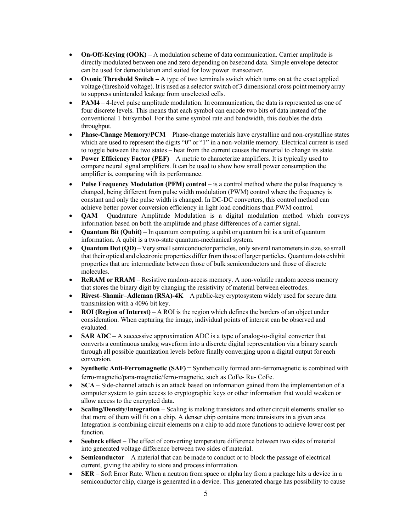- **On-Off-Keying (OOK) –** A modulation scheme of data communication. Carrier amplitude is directly modulated between one and zero depending on baseband data. Simple envelope detector can be used for demodulation and suited for low power transceiver.
- **Ovonic Threshold Switch –** A type of two terminals switch which turns on at the exact applied voltage (threshold voltage). It is used as a selector switch of 3 dimensional cross point memory array to suppress unintended leakage from unselected cells.
- **PAM4** 4-level pulse amplitude modulation. In communication, the data is represented as one of four discrete levels. This means that each symbol can encode two bits of data instead of the conventional 1 bit/symbol. For the same symbol rate and bandwidth, this doubles the data throughput.
- **Phase-Change Memory/PCM**  Phase-change materials have crystalline and non-crystalline states which are used to represent the digits "0" or "1" in a non-volatile memory. Electrical current is used to toggle between the two states – heat from the current causes the material to change its state.
- **Power Efficiency Factor (PEF)** A metric to characterize amplifiers. It is typically used to compare neural signal amplifiers. It can be used to show how small power consumption the amplifier is, comparing with its performance.
- **Pulse Frequency Modulation (PFM) control** is a control method where the pulse frequency is changed, being different from pulse width modulation (PWM) control where the frequency is constant and only the pulse width is changed. In DC-DC converters, this control method can achieve better power conversion efficiency in light load conditions than PWM control.
- **QAM** Quadrature Amplitude Modulation is a digital modulation method which conveys information based on both the amplitude and phase differences of a carrier signal.
- **Quantum Bit (Qubit)** In quantum computing, a qubit or quantum bit is a unit of quantum information. A qubit is a two-state quantum-mechanical system.
- **Quantum Dot (QD)** Very small semiconductor particles, only several nanometers in size, so small that their optical and electronic properties differ from those oflarger particles. Quantum dots exhibit properties that are intermediate between those of bulk semiconductors and those of discrete molecules.
- **ReRAM or RRAM** Resistive random-access memory. A non-volatile random access memory that stores the binary digit by changing the resistivity of material between electrodes.
- **Rivest–Shamir–Adleman (RSA)-4K**  A public-key cryptosystem widely used for secure data transmission with a 4096 bit key.
- **ROI (Region ofInterest)** A ROI is the region which defines the borders of an object under consideration. When capturing the image, individual points of interest can be observed and evaluated.
- **SAR ADC**  A successive approximation ADC is a type of analog-to-digital converter that converts a continuous analog waveform into a discrete digital representation via a binary search through all possible quantization levels before finally converging upon a digital output for each conversion.
- **Synthetic Anti-Ferromagnetic (SAF)**−Synthetically formed anti-ferromagnetic is combined with ferro-magnetic/para-magnetic/ferro-magnetic, such as CoFe- Ru- CoFe.
- **SCA**  Side-channel attach is an attack based on information gained from the implementation of a computer system to gain access to cryptographic keys or other information that would weaken or allow access to the encrypted data.
- **Scaling/Density/Integration**  Scaling is making transistors and other circuit elements smaller so that more of them will fit on a chip. A denser chip contains more transistors in a given area. Integration is combining circuit elements on a chip to add more functions to achieve lower cost per function.
- **Seebeck effect** The effect of converting temperature difference between two sides of material into generated voltage difference between two sides of material.
- **Semiconductor**  A material that can be made to conduct or to block the passage of electrical current, giving the ability to store and process information.
- **SER**  Soft Error Rate. When a neutron from space or alpha lay from a package hits a device in a semiconductor chip, charge is generated in a device. This generated charge has possibility to cause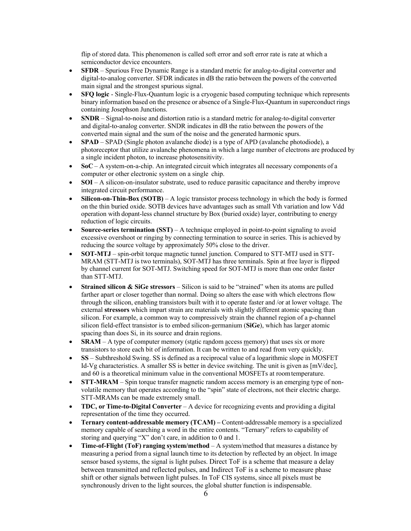flip of stored data. This phenomenon is called soft error and soft error rate is rate at which a semiconductor device encounters.

- **SFDR**  Spurious Free Dynamic Range is a standard metric for analog-to-digital converter and digital-to-analog converter. SFDR indicates in dB the ratio between the powers of the converted main signal and the strongest spurious signal.
- **SFQ logic**  Single-Flux-Quantum logic is a cryogenic based computing technique which represents binary information based on the presence or absence of a Single-Flux-Quantum in superconduct rings containing Josephson Junctions.
- **SNDR** Signal-to-noise and distortion ratio is a standard metric for analog-to-digital converter and digital-to-analog converter. SNDR indicates in dB the ratio between the powers of the converted main signal and the sum of the noise and the generated harmonic spurs.
- **SPAD** SPAD (Single photon avalanche diode) is a type of APD (avalanche photodiode), a photoreceptor that utilize avalanche phenomena in which a large number of electrons are produced by a single incident photon, to increase photosensitivity.
- **SoC** A system-on-a-chip. An integrated circuit which integrates all necessary components of a computer or other electronic system on a single chip.
- **SOI**  A silicon-on-insulator substrate, used to reduce parasitic capacitance and thereby improve integrated circuit performance.
- **Silicon-on-Thin-Box (SOTB)**  A logic transistor process technology in which the body is formed on the thin buried oxide. SOTB devices have advantages such as small Vth variation and low Vdd operation with dopant-less channel structure by Box (buried oxide) layer, contributing to energy reduction of logic circuits.
- **Source-series termination (SST)** A technique employed in point-to-point signaling to avoid excessive overshoot or ringing by connecting termination to source in series. This is achieved by reducing the source voltage by approximately 50% close to the driver.
- **SOT-MTJ** spin-orbit torque magnetic tunnel junction. Compared to STT-MTJ used in STT-MRAM (STT-MTJ is two terminals), SOT-MTJ has three terminals. Spin at free layer is flipped by channel current for SOT-MTJ. Switching speed for SOT-MTJ is more than one order faster than STT-MTJ.
- **Strained silicon & SiGe stressors**  Silicon is said to be "strained" when its atoms are pulled farther apart or closer together than normal. Doing so alters the ease with which electrons flow through the silicon, enabling transistors built with it to operate faster and /or at lower voltage. The external **stressors** which impart strain are materials with slightly different atomic spacing than silicon. For example, a common way to compressively strain the channel region of a p-channel silicon field-effect transistor is to embed silicon-germanium (**SiGe**), which has larger atomic spacing than does Si, in its source and drain regions.
- **SRAM** *–* A type of computer memory (static random access memory) that uses six or more transistors to store each bit of information. It can be written to and read from very quickly.
- **SS** Subthreshold Swing. SS is defined as a reciprocal value of a logarithmic slope in MOSFET Id-Vg characteristics. A smaller SS is better in device switching. The unit is given as [mV/dec], and 60 is a theoretical minimum value in the conventional MOSFETs at roomtemperature.
- **STT-MRAM**  Spin torque transfer magnetic random access memory is an emerging type of nonvolatile memory that operates according to the "spin" state of electrons, not their electric charge. STT-MRAMs can be made extremely small.
- **TDC, or Time-to-Digital Converter** A device for recognizing events and providing a digital representation of the time they occurred.
- **Ternary content-addressable memory (TCAM) –** Content-addressable memory is a specialized memory capable of searching a word in the entire contents. "Ternary" refers to capability of storing and querying "X" don't care, in addition to 0 and 1.
- **Time-of-Flight (ToF) ranging system/method** A system/method that measures a distance by measuring a period from a signal launch time to its detection by reflected by an object. In image sensor based systems, the signal is light pulses. Direct ToF is a scheme that measure a delay between transmitted and reflected pulses, and Indirect ToF is a scheme to measure phase shift or other signals between light pulses. In ToF CIS systems, since all pixels must be synchronously driven to the light sources, the global shutter function is indispensable.